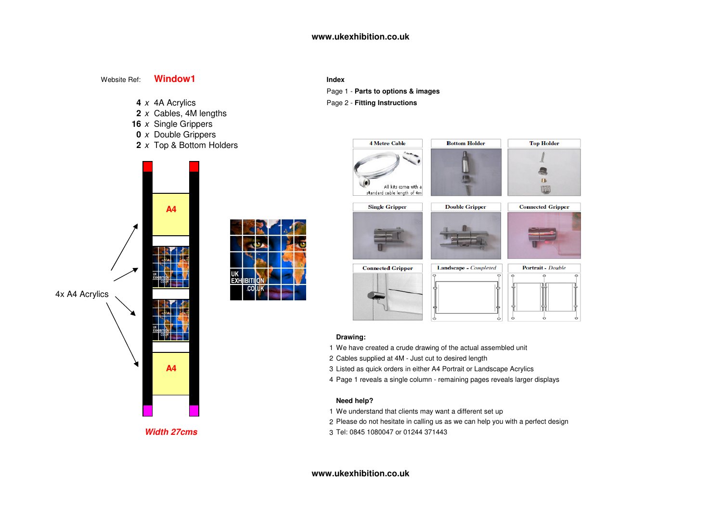#### Website Ref:**Window1**

- 4 x 4A Acrylics
- **2** <sup>x</sup> Cables, 4M lengths
- **16** <sup>x</sup> Single Grippers
- **0** <sup>x</sup> Double Grippers
- **2** <sup>x</sup> Top & Bottom Holders



**Width 27cms**

| All kits come vith a<br>standard cable length of 4m |                                  |                                   |
|-----------------------------------------------------|----------------------------------|-----------------------------------|
| <b>Single Gripper</b>                               | <b>Double Gripper</b>            | <b>Connected Gripper</b>          |
|                                                     |                                  |                                   |
| <b>Connected Gripper</b>                            | Landscape - Completed<br>$\circ$ | Portrait - Double<br>$\circ$<br>ന |
|                                                     |                                  |                                   |

**Bottom Holder** 



**Top Holder** 



#### **Drawing:**

- 1 We have created a crude drawing of the actual assembled unit
- <sup>2</sup> Cables supplied at 4M Just cut to desired length
- <sup>3</sup> Listed as quick orders in either A4 Portrait or Landscape Acrylics
	- 4 Page 1 reveals a single column remaining pages reveals larger displays

### **Need help?**

- 1 We understand that clients may want a different set up
- 2 Please do not hesitate in calling us as we can help you with a perfect design
- <sup>3</sup> Tel: 0845 1080047 or 01244 371443

#### **www.ukexhibition.co.uk**

# **I Index**

Page 1 - **Parts to options & images**

**4 Metre Cable** 

<sup>x</sup> 4A Acrylics Page 2 - **Fitting Instructions**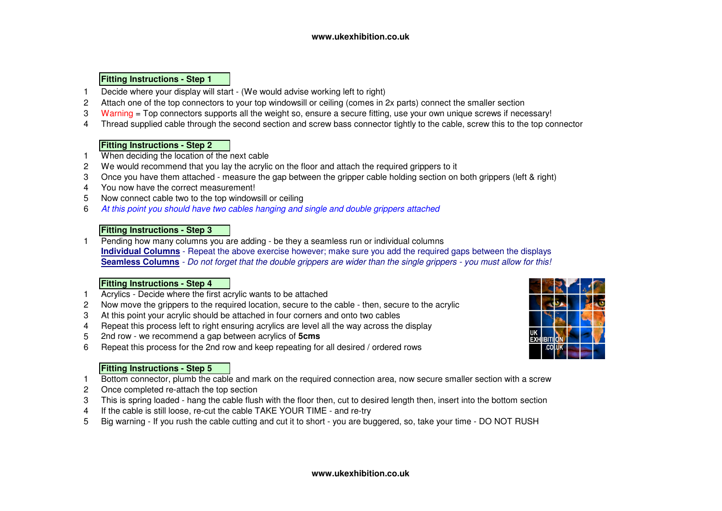## **Fitting Instructions - Step 1**

- Decide where your display will start (We would advise working left to right)
- Attach one of the top connectors to your top windowsill or ceiling (comes in 2x parts) connect the smaller section
- 3 Warning = Top connectors supports all the weight so, ensure a secure fitting, use your own unique screws if necessary!
- Thread supplied cable through the second section and screw bass connector tightly to the cable, screw this to the top connector

## **Fitting Instructions - Step 2**

- When deciding the location of the next cable
- We would recommend that you lay the acrylic on the floor and attach the required grippers to it
- Once you have them attached measure the gap between the gripper cable holding section on both grippers (left & right)
- You now have the correct measurement!
- Now connect cable two to the top windowsill or ceiling
- At this point you should have two cables hanging and single and double grippers attached

## **Fitting Instructions - Step 3**

 Pending how many columns you are adding - be they a seamless run or individual columns **Individual Columns** - Repeat the above exercise however; make sure you add the required gaps between the displays**Seamless Columns** - Do not forget that the double grippers are wider than the single grippers - you must allow for this!

## **Fitting Instructions - Step 4**

- Acrylics Decide where the first acrylic wants to be attached
- Now move the grippers to the required location, secure to the cable then, secure to the acrylic
- At this point your acrylic should be attached in four corners and onto two cables
- Repeat this process left to right ensuring acrylics are level all the way across the display
- 2nd row - we recommend a gap between acrylics of **5cms**
- Repeat this process for the 2nd row and keep repeating for all desired / ordered rows

## **Fitting Instructions - Step 5**

- Bottom connector, plumb the cable and mark on the required connection area, now secure smaller section with a screw
- Once completed re-attach the top section
- This is spring loaded hang the cable flush with the floor then, cut to desired length then, insert into the bottom section
- If the cable is still loose, re-cut the cable TAKE YOUR TIME and re-try
- Big warning If you rush the cable cutting and cut it to short you are buggered, so, take your time DO NOT RUSH

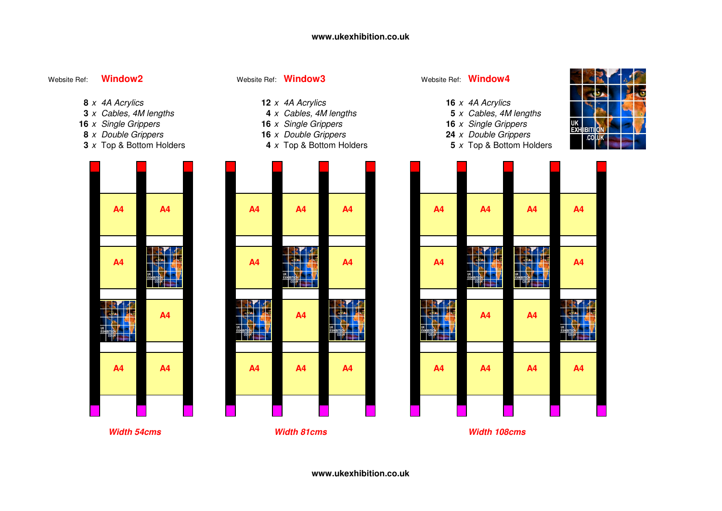#### Website Ref:**Window2**

<sup>x</sup> Top & Bottom Holders **<sup>4</sup>** <sup>x</sup> Top & Bottom Holders **<sup>5</sup>** <sup>x</sup> Top & Bottom Holders

# Website Ref: **Window3** Website Ref: **Window4**

- 
- **12** x 4A Acrylics **16** x 4A Acrylics **16** x 4A Acrylics **16** x 6A Acrylics **16** x 6A Acrylics **16** x 6A Acrylics **16** x 6A Acrylics **16** x 6A Acrylics **16** x 6A Acrylics **16** x 6A Acrylics **16** x 6A Acrylics **16** and **16 4** x Cables, 4M lengths **4** x Cables, 4M lengths **5** x Cables, 4M lengths **16** x Single Grippers
- <sup>x</sup> Single Grippers **<sup>16</sup>** <sup>x</sup> Single Grippers **<sup>16</sup>** <sup>x</sup> Single Grippers
- <sup>x</sup> Double Grippers **<sup>16</sup>** <sup>x</sup> Double Grippers **<sup>24</sup>** <sup>x</sup> Double Grippers
	-



| 4 | <b>A4</b>             | <b>A4</b>      | A4                    | <b>A4</b>                                                               | <b>A4</b>                                                                | <b>A4</b>                                                               | A4                                                                                                                                           | <b>A4</b>                                    |
|---|-----------------------|----------------|-----------------------|-------------------------------------------------------------------------|--------------------------------------------------------------------------|-------------------------------------------------------------------------|----------------------------------------------------------------------------------------------------------------------------------------------|----------------------------------------------|
| 4 | $\frac{9}{2}$<br>conk | <b>A4</b>      | d.<br>Æ<br>EXHIBITION | A <sub>4</sub>                                                          | <b>A4</b>                                                                | Ζ.<br><b>Me</b><br><b>PA</b><br><b>UK</b><br>EXHIBITION<br><b>colnk</b> | Æ<br>21<br>美<br>EXHIBITION<br>$\overline{\phantom{a}}$ $\overline{\phantom{a}}$ $\overline{\phantom{a}}$ $\overline{\phantom{a}}$<br>a.<br>a | <b>A4</b>                                    |
|   | A4                    | А<br>ā<br>لمطه | A4                    | $\sqrt{2}$<br><b>Me</b><br><b>SPA</b><br><b>UK</b><br><b>EXHIBITION</b> | <b>Ma</b><br>o.<br>UK<br>EXHIBITION<br>$\text{co} \mathsf{n} \mathsf{K}$ | A4                                                                      | A4                                                                                                                                           | 尾<br>- BA<br><b>UK</b><br>EXH<br>$\log_{10}$ |
| 4 | A4                    | A4             | A4                    | A4                                                                      | A4                                                                       | A4                                                                      | A4                                                                                                                                           | A4                                           |
|   |                       |                |                       |                                                                         |                                                                          |                                                                         |                                                                                                                                              |                                              |

**Width 81cms Width 108cms**

|  | 8 x 4A Acrylics |
|--|-----------------|

- **3** x Cables, 4M lengths
- **16** x Single Grippers
- **8** *x* Double Grippers
- **3** x Top & Bottom Holders

| A4             | A4             |  |
|----------------|----------------|--|
|                |                |  |
|                |                |  |
| A <sub>4</sub> | EXHIBITION     |  |
|                |                |  |
| EXHIBITION     | A <sub>4</sub> |  |
|                |                |  |
| A <sub>4</sub> | A <sub>4</sub> |  |
|                |                |  |
|                |                |  |





**www.ukexhibition.co.uk**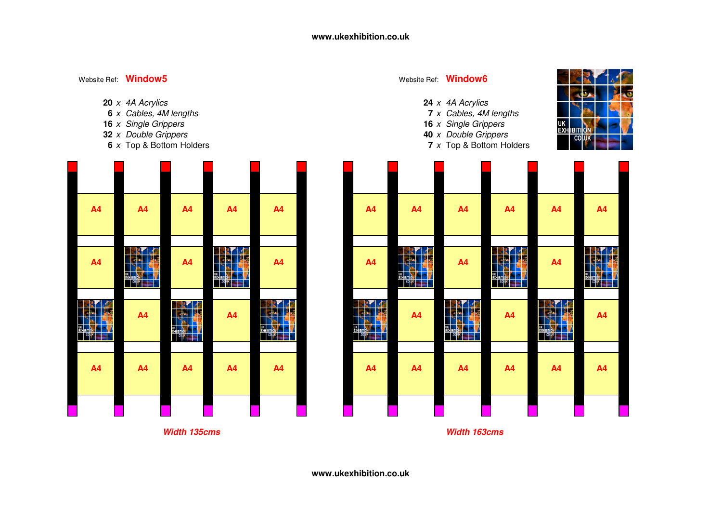- 20 x 4A Acrylics
- **6** x Cables, 4M lengths
- **16** x Single Grippers
- **32** *x* Double Grippers
- **6** x Top & Bottom Holders



## Website Ref: **Window6**

- <sup>x</sup> 4A Acrylics **<sup>24</sup>** <sup>x</sup> 4A Acrylics
- <sup>x</sup> Cables, 4M lengths **<sup>7</sup>** <sup>x</sup> Cables, 4M lengths
- <sup>x</sup> Single Grippers **<sup>16</sup>** <sup>x</sup> Single Grippers <sup>x</sup> Double Grippers **<sup>40</sup>** <sup>x</sup> Double Grippers
- <sup>x</sup> Top & Bottom Holders **<sup>7</sup>** <sup>x</sup> Top & Bottom Holders





**Width 163cms**

**www.ukexhibition.co.uk**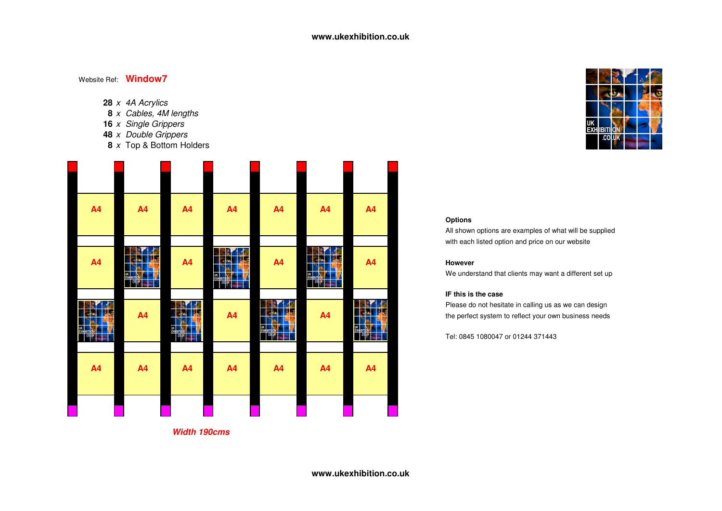- **28** <sup>x</sup> 4A Acrylics
- **8** <sup>x</sup> Cables, 4M lengths
- **16** <sup>x</sup> Single Grippers
- **48** <sup>x</sup> Double Grippers
- **8** <sup>x</sup> Top & Bottom Holders





### **Options**

 All shown options are examples of what will be suppliedwith each listed option and price on our website

We understand that clients may want a different set up

#### **IF this is the case**

Please do not hesitate in calling us as we can design

Tel: 0845 1080047 or 01244 371443

**Width 190cms**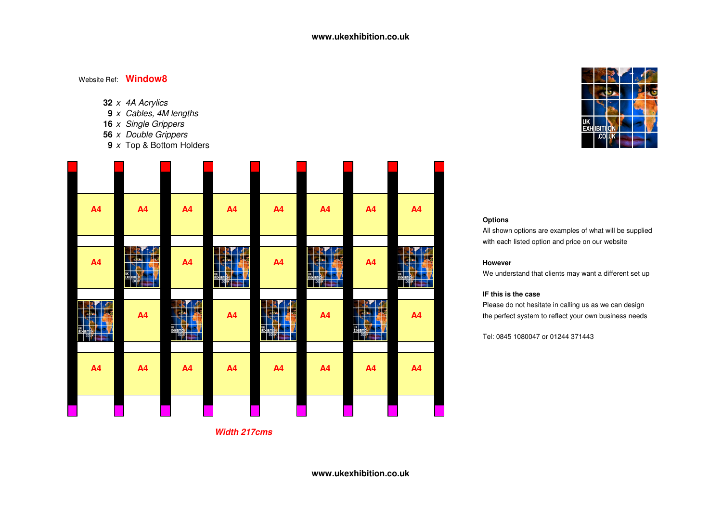- **32** <sup>x</sup> 4A Acrylics
- **9** <sup>x</sup> Cables, 4M lengths
- **16** <sup>x</sup> Single Grippers
- **56** <sup>x</sup> Double Grippers
- **9** <sup>x</sup> Top & Bottom Holders





### **Options**

 All shown options are examples of what will be suppliedwith each listed option and price on our website

We understand that clients may want a different set up

#### **IF this is the case**

Please do not hesitate in calling us as we can design

Tel: 0845 1080047 or 01244 371443

**Width 217cms**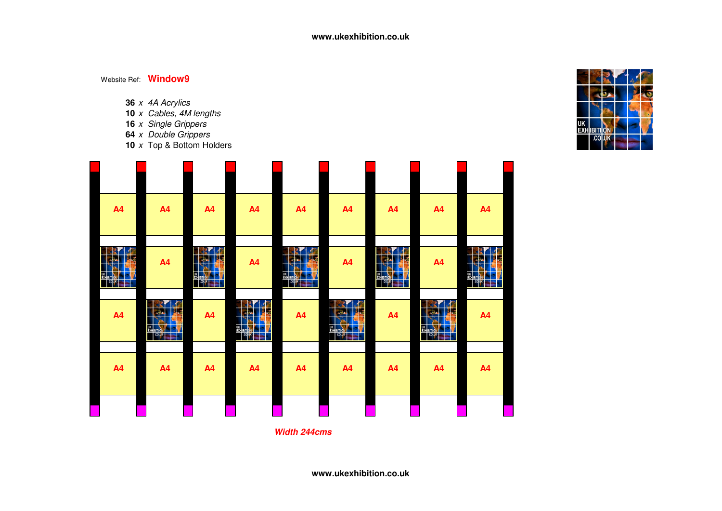- **36** <sup>x</sup> 4A Acrylics
- **10** <sup>x</sup> Cables, 4M lengths
- 
- **16** <sup>x</sup> Single Grippers **64** <sup>x</sup> Double Grippers
- **10** <sup>x</sup> Top & Bottom Holders

| <b>A4</b>                                | A4                     | A4                                   | A4                                              | A4                                                | A4                                   | A4                                            | A4                                             | A4                                          |
|------------------------------------------|------------------------|--------------------------------------|-------------------------------------------------|---------------------------------------------------|--------------------------------------|-----------------------------------------------|------------------------------------------------|---------------------------------------------|
| <b>SP</b><br>R.<br><b>De</b><br><b>A</b> | A4                     | œ<br>18<br><b>DA</b><br><b>I</b> the | A4                                              | G<br>R<br><b>Tyle</b><br>-la<br>EXHIBITION<br>SÞ. | A4                                   | $\sqrt{2}$<br>а.<br><b>Ma</b><br>EXHIBITION A | A4                                             | F<br>а.<br>美心<br>本<br>EXHIBITION<br>÷.<br>à |
| A <sub>4</sub>                           | Æ<br>题<br><b>ELECT</b> | A4                                   | <b>SP</b><br><b>RM</b><br>國境<br>EXHIBITION<br>÷ | A4                                                | Æ<br>美石<br>-la<br>EXHIBITION COMPANY | A4                                            | JF<br>Rł<br><b>THE</b><br>EXHIBITION<br>÷<br>÷ | A4                                          |
| A4                                       | A4                     | A4                                   | A4                                              | A4                                                | A4                                   | A4                                            | A4                                             | A4                                          |
|                                          |                        |                                      |                                                 |                                                   |                                      |                                               |                                                |                                             |

**Width 244cms**



**www.ukexhibition.co.uk**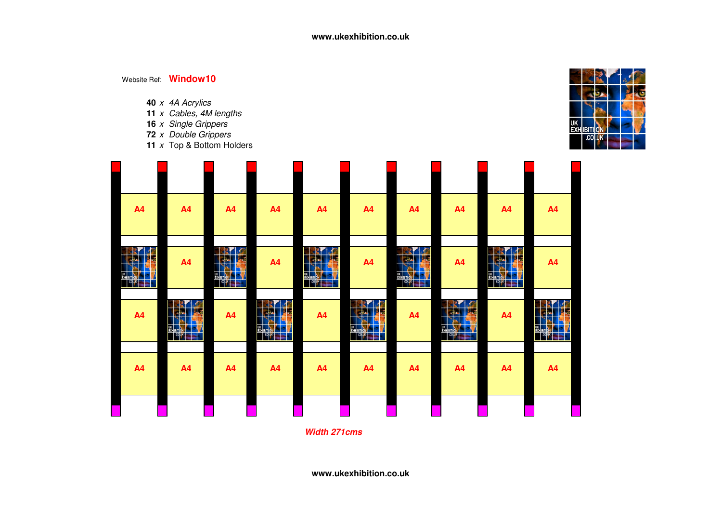- **40** <sup>x</sup> 4A Acrylics
- **11** <sup>x</sup> Cables, 4M lengths
- **16** <sup>x</sup> Single Grippers **72** <sup>x</sup> Double Grippers
- 
- **11** <sup>x</sup> Top & Bottom Holders



| <b>A4</b>                                                                             | A4                                                                                      | A <sup>4</sup>                                                                 | A4                                                                                     | A <sub>4</sub>                                                                     | A <sub>4</sub>        | A4                                  | A <sub>4</sub>                                                                                           | A <sub>4</sub>                                                              | A4                                                                                            |
|---------------------------------------------------------------------------------------|-----------------------------------------------------------------------------------------|--------------------------------------------------------------------------------|----------------------------------------------------------------------------------------|------------------------------------------------------------------------------------|-----------------------|-------------------------------------|----------------------------------------------------------------------------------------------------------|-----------------------------------------------------------------------------|-----------------------------------------------------------------------------------------------|
| <b>BALLAS</b><br><b>Tyle</b><br><b>RAN</b><br><b>UK</b><br>EXHIBITION<br><b>COLUK</b> | A4                                                                                      | <b>RANGE</b><br><b>DE</b><br>$\overline{\phantom{a}}$<br>EXHEID ON THE CARD OF | A4                                                                                     | <b>RY MO</b><br>$\mathbf{R}$<br><b>UK</b><br>EXHIBITION<br>$\log_{\text{nx}}$<br>÷ | A <sub>4</sub>        | <b>TREAD</b><br>24 26<br>EXHIBITION | A <sub>4</sub>                                                                                           | $\sqrt{2}$<br><b>ERA</b><br><b>REAL PRO</b><br><b>EXHIBITION</b><br>à<br>₩. | A4                                                                                            |
| <b>A4</b>                                                                             | <b>SP</b><br>R4<br><b>DAG</b><br><b>REA</b><br><b>UK</b><br>EXHIBITION<br>$\cos \theta$ | A4                                                                             | REAL PROPERTY.<br>○ 花<br><b>UK</b><br>EXHIBITION<br>$\frac{1}{2}$ column $\frac{1}{2}$ | <b>A4</b>                                                                          | <b>RAC</b><br>图表<br>÷ | A4                                  | <b>PACK</b><br>Rł<br>$\mathbf{F}$<br>d-A<br>UK<br>EXHIBITION<br>$\left  \frac{\cosh x}{\cosh x} \right $ | A4                                                                          | $\sqrt{2}$<br>R.<br><b>De</b><br>-le-<br>ò,<br><b>UK</b><br>EXHIBITION<br>come<br><b>Rite</b> |
| <b>A4</b>                                                                             | A4                                                                                      | A4                                                                             | A4                                                                                     | <b>A4</b>                                                                          | A <sub>4</sub>        | A4                                  | A <sub>4</sub>                                                                                           | A <sub>4</sub>                                                              | A4                                                                                            |
|                                                                                       |                                                                                         |                                                                                |                                                                                        |                                                                                    |                       |                                     |                                                                                                          |                                                                             |                                                                                               |

**Width 271cms**

**www.ukexhibition.co.uk**